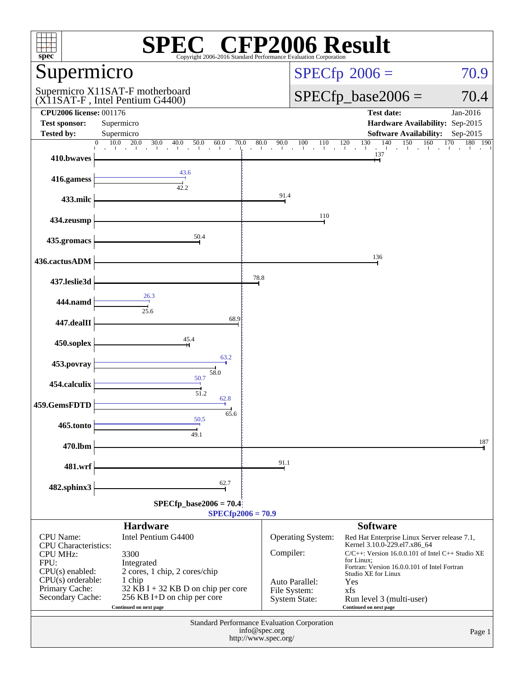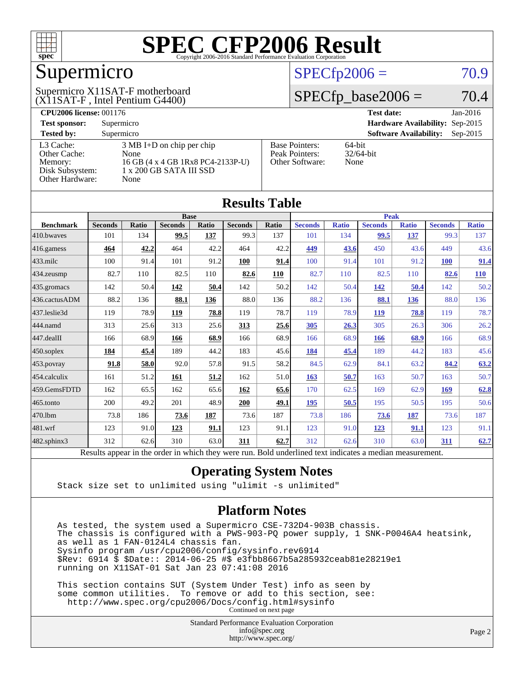

# Supermicro

#### (X11SAT-F , Intel Pentium G4400) Supermicro X11SAT-F motherboard

### $SPECfp2006 = 70.9$  $SPECfp2006 = 70.9$

### $SPECfp\_base2006 = 70.4$

| <b>CPU2006 license: 001176</b> |                                     |                       | $Jan-2016$<br><b>Test date:</b>             |
|--------------------------------|-------------------------------------|-----------------------|---------------------------------------------|
| <b>Test sponsor:</b>           | Supermicro                          |                       | Hardware Availability: Sep-2015             |
| <b>Tested by:</b>              | Supermicro                          |                       | <b>Software Availability:</b><br>$Sep-2015$ |
| L3 Cache:                      | $3 \text{ MB I+D}$ on chip per chip | <b>Base Pointers:</b> | $64$ -bit                                   |
| Other Cache:                   | None                                | Peak Pointers:        | $32/64$ -bit                                |
| Memory:                        | 16 GB (4 x 4 GB 1Rx8 PC4-2133P-U)   | Other Software:       | None                                        |
| Disk Subsystem:                | 1 x 200 GB SATA III SSD             |                       |                                             |
| Other Hardware:                | None                                |                       |                                             |

**[Results Table](http://www.spec.org/auto/cpu2006/Docs/result-fields.html#ResultsTable)**

|                  |                                                                                                          |              |                |       | Results Table  |              |                |              |                |              |                |              |  |
|------------------|----------------------------------------------------------------------------------------------------------|--------------|----------------|-------|----------------|--------------|----------------|--------------|----------------|--------------|----------------|--------------|--|
|                  | <b>Base</b>                                                                                              |              |                |       |                |              |                | <b>Peak</b>  |                |              |                |              |  |
| <b>Benchmark</b> | <b>Seconds</b>                                                                                           | <b>Ratio</b> | <b>Seconds</b> | Ratio | <b>Seconds</b> | <b>Ratio</b> | <b>Seconds</b> | <b>Ratio</b> | <b>Seconds</b> | <b>Ratio</b> | <b>Seconds</b> | <b>Ratio</b> |  |
| 410.bwayes       | 101                                                                                                      | 134          | 99.5           | 137   | 99.3           | 137          | 101            | 134          | 99.5           | 137          | 99.3           | 137          |  |
| 416.gamess       | 464                                                                                                      | 42.2         | 464            | 42.2  | 464            | 42.2         | 449            | 43.6         | 450            | 43.6         | 449            | 43.6         |  |
| $433$ .milc      | 100                                                                                                      | 91.4         | 101            | 91.2  | 100            | 91.4         | 100            | 91.4         | 101            | 91.2         | <b>100</b>     | 91.4         |  |
| 434.zeusmp       | 82.7                                                                                                     | 110          | 82.5           | 110   | 82.6           | 110          | 82.7           | 110          | 82.5           | 110          | 82.6           | 110          |  |
| 435.gromacs      | 142                                                                                                      | 50.4         | 142            | 50.4  | 142            | 50.2         | 142            | 50.4         | 142            | 50.4         | 142            | 50.2         |  |
| 436.cactusADM    | 88.2                                                                                                     | 136          | 88.1           | 136   | 88.0           | 136          | 88.2           | 136          | 88.1           | 136          | 88.0           | 136          |  |
| 437.leslie3d     | 119                                                                                                      | 78.9         | 119            | 78.8  | 119            | 78.7         | 119            | 78.9         | 119            | 78.8         | 119            | 78.7         |  |
| 444.namd         | 313                                                                                                      | 25.6         | 313            | 25.6  | 313            | 25.6         | 305            | 26.3         | 305            | 26.3         | 306            | 26.2         |  |
| $447$ .dealII    | 166                                                                                                      | 68.9         | 166            | 68.9  | 166            | 68.9         | 166            | 68.9         | <b>166</b>     | 68.9         | 166            | 68.9         |  |
| $450$ .soplex    | 184                                                                                                      | 45.4         | 189            | 44.2  | 183            | 45.6         | 184            | 45.4         | 189            | 44.2         | 183            | 45.6         |  |
| 453.povray       | 91.8                                                                                                     | 58.0         | 92.0           | 57.8  | 91.5           | 58.2         | 84.5           | 62.9         | 84.1           | 63.2         | 84.2           | 63.2         |  |
| 454.calculix     | 161                                                                                                      | 51.2         | 161            | 51.2  | 162            | 51.0         | 163            | 50.7         | 163            | 50.7         | 163            | 50.7         |  |
| 459.GemsFDTD     | 162                                                                                                      | 65.5         | 162            | 65.6  | 162            | 65.6         | 170            | 62.5         | 169            | 62.9         | 169            | 62.8         |  |
| 465.tonto        | 200                                                                                                      | 49.2         | 201            | 48.9  | 200            | 49.1         | 195            | 50.5         | 195            | 50.5         | 195            | 50.6         |  |
| 470.1bm          | 73.8                                                                                                     | 186          | 73.6           | 187   | 73.6           | 187          | 73.8           | 186          | 73.6           | 187          | 73.6           | 187          |  |
| 481.wrf          | 123                                                                                                      | 91.0         | 123            | 91.1  | 123            | 91.1         | 123            | 91.0         | <u>123</u>     | 91.1         | 123            | 91.1         |  |
| 482.sphinx3      | 312                                                                                                      | 62.6         | 310            | 63.0  | 311            | 62.7         | 312            | 62.6         | 310            | 63.0         | 311            | 62.7         |  |
|                  | Results appear in the order in which they were run. Bold underlined text indicates a median measurement. |              |                |       |                |              |                |              |                |              |                |              |  |

### **[Operating System Notes](http://www.spec.org/auto/cpu2006/Docs/result-fields.html#OperatingSystemNotes)**

Stack size set to unlimited using "ulimit -s unlimited"

### **[Platform Notes](http://www.spec.org/auto/cpu2006/Docs/result-fields.html#PlatformNotes)**

 As tested, the system used a Supermicro CSE-732D4-903B chassis. The chassis is configured with a PWS-903-PQ power supply, 1 SNK-P0046A4 heatsink, as well as 1 FAN-0124L4 chassis fan. Sysinfo program /usr/cpu2006/config/sysinfo.rev6914 \$Rev: 6914 \$ \$Date:: 2014-06-25 #\$ e3fbb8667b5a285932ceab81e28219e1 running on X11SAT-01 Sat Jan 23 07:41:08 2016

 This section contains SUT (System Under Test) info as seen by some common utilities. To remove or add to this section, see: <http://www.spec.org/cpu2006/Docs/config.html#sysinfo> Continued on next page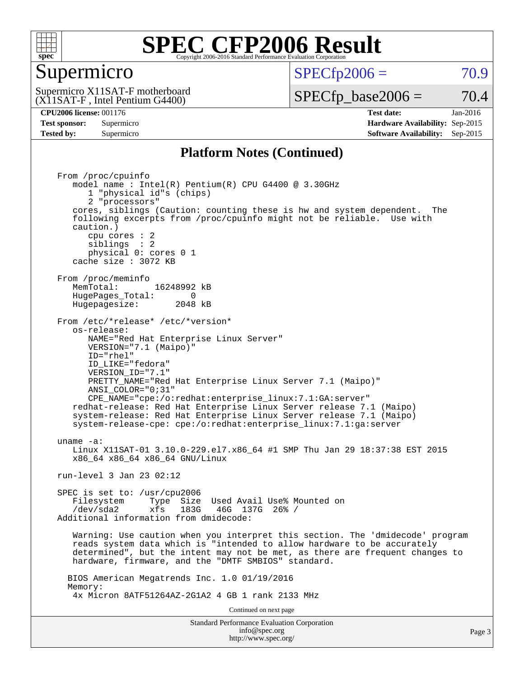

### Supermicro

 $SPECTp2006 = 70.9$ 

(X11SAT-F , Intel Pentium G4400) Supermicro X11SAT-F motherboard  $SPECTp\_base2006 = 70.4$ 

**[CPU2006 license:](http://www.spec.org/auto/cpu2006/Docs/result-fields.html#CPU2006license)** 001176 **[Test date:](http://www.spec.org/auto/cpu2006/Docs/result-fields.html#Testdate)** Jan-2016 **[Test sponsor:](http://www.spec.org/auto/cpu2006/Docs/result-fields.html#Testsponsor)** Supermicro **[Hardware Availability:](http://www.spec.org/auto/cpu2006/Docs/result-fields.html#HardwareAvailability)** Sep-2015 **[Tested by:](http://www.spec.org/auto/cpu2006/Docs/result-fields.html#Testedby)** Supermicro **Supermicro [Software Availability:](http://www.spec.org/auto/cpu2006/Docs/result-fields.html#SoftwareAvailability)** Sep-2015

### **[Platform Notes \(Continued\)](http://www.spec.org/auto/cpu2006/Docs/result-fields.html#PlatformNotes)**

Standard Performance Evaluation Corporation From /proc/cpuinfo model name : Intel(R) Pentium(R) CPU G4400 @ 3.30GHz 1 "physical id"s (chips) 2 "processors" cores, siblings (Caution: counting these is hw and system dependent. The following excerpts from /proc/cpuinfo might not be reliable. Use with caution.) cpu cores : 2 siblings : 2 physical 0: cores 0 1 cache size : 3072 KB From /proc/meminfo<br>MemTotal: 16248992 kB HugePages\_Total: 0<br>Hugepagesize: 2048 kB Hugepagesize: From /etc/\*release\* /etc/\*version\* os-release: NAME="Red Hat Enterprise Linux Server" VERSION="7.1 (Maipo)" ID="rhel" ID\_LIKE="fedora" VERSION\_ID="7.1" PRETTY\_NAME="Red Hat Enterprise Linux Server 7.1 (Maipo)" ANSI\_COLOR="0;31" CPE\_NAME="cpe:/o:redhat:enterprise\_linux:7.1:GA:server" redhat-release: Red Hat Enterprise Linux Server release 7.1 (Maipo) system-release: Red Hat Enterprise Linux Server release 7.1 (Maipo) system-release-cpe: cpe:/o:redhat:enterprise\_linux:7.1:ga:server uname -a: Linux X11SAT-01 3.10.0-229.el7.x86\_64 #1 SMP Thu Jan 29 18:37:38 EST 2015 x86\_64 x86\_64 x86\_64 GNU/Linux run-level 3 Jan 23 02:12 SPEC is set to: /usr/cpu2006 Filesystem Type Size Used Avail Use% Mounted on /dev/sda2 xfs 183G 46G 137G 26% / Additional information from dmidecode: Warning: Use caution when you interpret this section. The 'dmidecode' program reads system data which is "intended to allow hardware to be accurately determined", but the intent may not be met, as there are frequent changes to hardware, firmware, and the "DMTF SMBIOS" standard. BIOS American Megatrends Inc. 1.0 01/19/2016 Memory: 4x Micron 8ATF51264AZ-2G1A2 4 GB 1 rank 2133 MHz Continued on next page

[info@spec.org](mailto:info@spec.org) <http://www.spec.org/>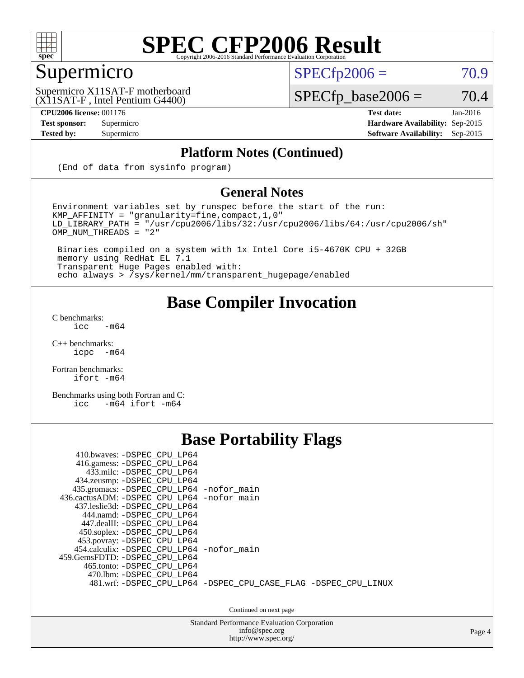

### Supermicro

 $SPECTp2006 = 70.9$ 

(X11SAT-F , Intel Pentium G4400) Supermicro X11SAT-F motherboard

**[CPU2006 license:](http://www.spec.org/auto/cpu2006/Docs/result-fields.html#CPU2006license)** 001176 **[Test date:](http://www.spec.org/auto/cpu2006/Docs/result-fields.html#Testdate)** Jan-2016

### $SPECfp\_base2006 = 70.4$

**[Test sponsor:](http://www.spec.org/auto/cpu2006/Docs/result-fields.html#Testsponsor)** Supermicro **[Hardware Availability:](http://www.spec.org/auto/cpu2006/Docs/result-fields.html#HardwareAvailability)** Sep-2015 **[Tested by:](http://www.spec.org/auto/cpu2006/Docs/result-fields.html#Testedby)** Supermicro **Supermicro [Software Availability:](http://www.spec.org/auto/cpu2006/Docs/result-fields.html#SoftwareAvailability)** Sep-2015

### **[Platform Notes \(Continued\)](http://www.spec.org/auto/cpu2006/Docs/result-fields.html#PlatformNotes)**

(End of data from sysinfo program)

### **[General Notes](http://www.spec.org/auto/cpu2006/Docs/result-fields.html#GeneralNotes)**

Environment variables set by runspec before the start of the run: KMP\_AFFINITY = "granularity=fine,compact,1,0"  $LD$ \_LIBRARY\_PATH = "/usr/cpu2006/libs/32:/usr/cpu2006/libs/64:/usr/cpu2006/sh" OMP\_NUM\_THREADS = "2"

 Binaries compiled on a system with 1x Intel Core i5-4670K CPU + 32GB memory using RedHat EL 7.1 Transparent Huge Pages enabled with: echo always > /sys/kernel/mm/transparent\_hugepage/enabled

### **[Base Compiler Invocation](http://www.spec.org/auto/cpu2006/Docs/result-fields.html#BaseCompilerInvocation)**

[C benchmarks](http://www.spec.org/auto/cpu2006/Docs/result-fields.html#Cbenchmarks):  $\text{icc}$  -m64

 $C++$  benchmarks:<br>icpc  $-m$ -m64

[Fortran benchmarks](http://www.spec.org/auto/cpu2006/Docs/result-fields.html#Fortranbenchmarks): [ifort -m64](http://www.spec.org/cpu2006/results/res2016q1/cpu2006-20160125-38765.flags.html#user_FCbase_intel_ifort_64bit_ee9d0fb25645d0210d97eb0527dcc06e)

[Benchmarks using both Fortran and C](http://www.spec.org/auto/cpu2006/Docs/result-fields.html#BenchmarksusingbothFortranandC): [icc -m64](http://www.spec.org/cpu2006/results/res2016q1/cpu2006-20160125-38765.flags.html#user_CC_FCbase_intel_icc_64bit_0b7121f5ab7cfabee23d88897260401c) [ifort -m64](http://www.spec.org/cpu2006/results/res2016q1/cpu2006-20160125-38765.flags.html#user_CC_FCbase_intel_ifort_64bit_ee9d0fb25645d0210d97eb0527dcc06e)

### **[Base Portability Flags](http://www.spec.org/auto/cpu2006/Docs/result-fields.html#BasePortabilityFlags)**

| 410.bwaves: -DSPEC_CPU_LP64<br>416.gamess: -DSPEC_CPU_LP64<br>433.milc: -DSPEC CPU LP64<br>434.zeusmp: - DSPEC_CPU_LP64<br>435.gromacs: -DSPEC_CPU_LP64 -nofor_main<br>436.cactusADM: -DSPEC CPU LP64 -nofor main<br>437.leslie3d: -DSPEC CPU LP64<br>444.namd: -DSPEC CPU LP64<br>447.dealII: -DSPEC CPU LP64 |                                                                |
|----------------------------------------------------------------------------------------------------------------------------------------------------------------------------------------------------------------------------------------------------------------------------------------------------------------|----------------------------------------------------------------|
| 450.soplex: -DSPEC_CPU_LP64<br>453.povray: -DSPEC_CPU_LP64<br>454.calculix: -DSPEC CPU LP64 -nofor main<br>459.GemsFDTD: - DSPEC_CPU_LP64<br>465.tonto: -DSPEC CPU LP64<br>470.1bm: - DSPEC CPU LP64                                                                                                           | 481.wrf: -DSPEC CPU_LP64 -DSPEC_CPU_CASE_FLAG -DSPEC_CPU_LINUX |

Continued on next page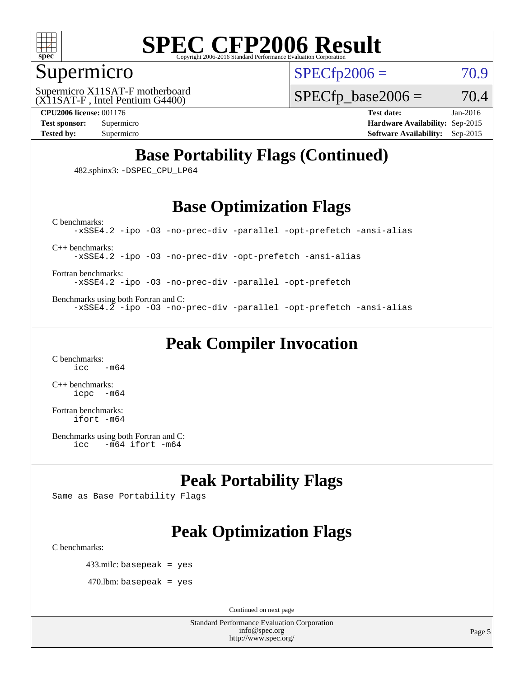

### Supermicro

 $SPECTp2006 = 70.9$ 

(X11SAT-F , Intel Pentium G4400) Supermicro X11SAT-F motherboard  $SPECfp\_base2006 = 70.4$ 

**[CPU2006 license:](http://www.spec.org/auto/cpu2006/Docs/result-fields.html#CPU2006license)** 001176 **[Test date:](http://www.spec.org/auto/cpu2006/Docs/result-fields.html#Testdate)** Jan-2016

**[Test sponsor:](http://www.spec.org/auto/cpu2006/Docs/result-fields.html#Testsponsor)** Supermicro **[Hardware Availability:](http://www.spec.org/auto/cpu2006/Docs/result-fields.html#HardwareAvailability)** Sep-2015 **[Tested by:](http://www.spec.org/auto/cpu2006/Docs/result-fields.html#Testedby)** Supermicro **Supermicro [Software Availability:](http://www.spec.org/auto/cpu2006/Docs/result-fields.html#SoftwareAvailability)** Sep-2015

## **[Base Portability Flags \(Continued\)](http://www.spec.org/auto/cpu2006/Docs/result-fields.html#BasePortabilityFlags)**

482.sphinx3: [-DSPEC\\_CPU\\_LP64](http://www.spec.org/cpu2006/results/res2016q1/cpu2006-20160125-38765.flags.html#suite_basePORTABILITY482_sphinx3_DSPEC_CPU_LP64)

### **[Base Optimization Flags](http://www.spec.org/auto/cpu2006/Docs/result-fields.html#BaseOptimizationFlags)**

[-xSSE4.2](http://www.spec.org/cpu2006/results/res2016q1/cpu2006-20160125-38765.flags.html#user_CCbase_f-xSSE42_f91528193cf0b216347adb8b939d4107) [-ipo](http://www.spec.org/cpu2006/results/res2016q1/cpu2006-20160125-38765.flags.html#user_CCbase_f-ipo) [-O3](http://www.spec.org/cpu2006/results/res2016q1/cpu2006-20160125-38765.flags.html#user_CCbase_f-O3) [-no-prec-div](http://www.spec.org/cpu2006/results/res2016q1/cpu2006-20160125-38765.flags.html#user_CCbase_f-no-prec-div) [-parallel](http://www.spec.org/cpu2006/results/res2016q1/cpu2006-20160125-38765.flags.html#user_CCbase_f-parallel) [-opt-prefetch](http://www.spec.org/cpu2006/results/res2016q1/cpu2006-20160125-38765.flags.html#user_CCbase_f-opt-prefetch) [-ansi-alias](http://www.spec.org/cpu2006/results/res2016q1/cpu2006-20160125-38765.flags.html#user_CCbase_f-ansi-alias)

[C++ benchmarks:](http://www.spec.org/auto/cpu2006/Docs/result-fields.html#CXXbenchmarks)

[C benchmarks](http://www.spec.org/auto/cpu2006/Docs/result-fields.html#Cbenchmarks):

[-xSSE4.2](http://www.spec.org/cpu2006/results/res2016q1/cpu2006-20160125-38765.flags.html#user_CXXbase_f-xSSE42_f91528193cf0b216347adb8b939d4107) [-ipo](http://www.spec.org/cpu2006/results/res2016q1/cpu2006-20160125-38765.flags.html#user_CXXbase_f-ipo) [-O3](http://www.spec.org/cpu2006/results/res2016q1/cpu2006-20160125-38765.flags.html#user_CXXbase_f-O3) [-no-prec-div](http://www.spec.org/cpu2006/results/res2016q1/cpu2006-20160125-38765.flags.html#user_CXXbase_f-no-prec-div) [-opt-prefetch](http://www.spec.org/cpu2006/results/res2016q1/cpu2006-20160125-38765.flags.html#user_CXXbase_f-opt-prefetch) [-ansi-alias](http://www.spec.org/cpu2006/results/res2016q1/cpu2006-20160125-38765.flags.html#user_CXXbase_f-ansi-alias)

[Fortran benchmarks](http://www.spec.org/auto/cpu2006/Docs/result-fields.html#Fortranbenchmarks):

[-xSSE4.2](http://www.spec.org/cpu2006/results/res2016q1/cpu2006-20160125-38765.flags.html#user_FCbase_f-xSSE42_f91528193cf0b216347adb8b939d4107) [-ipo](http://www.spec.org/cpu2006/results/res2016q1/cpu2006-20160125-38765.flags.html#user_FCbase_f-ipo) [-O3](http://www.spec.org/cpu2006/results/res2016q1/cpu2006-20160125-38765.flags.html#user_FCbase_f-O3) [-no-prec-div](http://www.spec.org/cpu2006/results/res2016q1/cpu2006-20160125-38765.flags.html#user_FCbase_f-no-prec-div) [-parallel](http://www.spec.org/cpu2006/results/res2016q1/cpu2006-20160125-38765.flags.html#user_FCbase_f-parallel) [-opt-prefetch](http://www.spec.org/cpu2006/results/res2016q1/cpu2006-20160125-38765.flags.html#user_FCbase_f-opt-prefetch)

[Benchmarks using both Fortran and C](http://www.spec.org/auto/cpu2006/Docs/result-fields.html#BenchmarksusingbothFortranandC): [-xSSE4.2](http://www.spec.org/cpu2006/results/res2016q1/cpu2006-20160125-38765.flags.html#user_CC_FCbase_f-xSSE42_f91528193cf0b216347adb8b939d4107) [-ipo](http://www.spec.org/cpu2006/results/res2016q1/cpu2006-20160125-38765.flags.html#user_CC_FCbase_f-ipo) [-O3](http://www.spec.org/cpu2006/results/res2016q1/cpu2006-20160125-38765.flags.html#user_CC_FCbase_f-O3) [-no-prec-div](http://www.spec.org/cpu2006/results/res2016q1/cpu2006-20160125-38765.flags.html#user_CC_FCbase_f-no-prec-div) [-parallel](http://www.spec.org/cpu2006/results/res2016q1/cpu2006-20160125-38765.flags.html#user_CC_FCbase_f-parallel) [-opt-prefetch](http://www.spec.org/cpu2006/results/res2016q1/cpu2006-20160125-38765.flags.html#user_CC_FCbase_f-opt-prefetch) [-ansi-alias](http://www.spec.org/cpu2006/results/res2016q1/cpu2006-20160125-38765.flags.html#user_CC_FCbase_f-ansi-alias)

**[Peak Compiler Invocation](http://www.spec.org/auto/cpu2006/Docs/result-fields.html#PeakCompilerInvocation)**

[C benchmarks](http://www.spec.org/auto/cpu2006/Docs/result-fields.html#Cbenchmarks):  $\text{icc}$   $-\text{m64}$ 

[C++ benchmarks:](http://www.spec.org/auto/cpu2006/Docs/result-fields.html#CXXbenchmarks) [icpc -m64](http://www.spec.org/cpu2006/results/res2016q1/cpu2006-20160125-38765.flags.html#user_CXXpeak_intel_icpc_64bit_bedb90c1146cab66620883ef4f41a67e)

[Fortran benchmarks](http://www.spec.org/auto/cpu2006/Docs/result-fields.html#Fortranbenchmarks): [ifort -m64](http://www.spec.org/cpu2006/results/res2016q1/cpu2006-20160125-38765.flags.html#user_FCpeak_intel_ifort_64bit_ee9d0fb25645d0210d97eb0527dcc06e)

[Benchmarks using both Fortran and C](http://www.spec.org/auto/cpu2006/Docs/result-fields.html#BenchmarksusingbothFortranandC): [icc -m64](http://www.spec.org/cpu2006/results/res2016q1/cpu2006-20160125-38765.flags.html#user_CC_FCpeak_intel_icc_64bit_0b7121f5ab7cfabee23d88897260401c) [ifort -m64](http://www.spec.org/cpu2006/results/res2016q1/cpu2006-20160125-38765.flags.html#user_CC_FCpeak_intel_ifort_64bit_ee9d0fb25645d0210d97eb0527dcc06e)

### **[Peak Portability Flags](http://www.spec.org/auto/cpu2006/Docs/result-fields.html#PeakPortabilityFlags)**

Same as Base Portability Flags

## **[Peak Optimization Flags](http://www.spec.org/auto/cpu2006/Docs/result-fields.html#PeakOptimizationFlags)**

[C benchmarks](http://www.spec.org/auto/cpu2006/Docs/result-fields.html#Cbenchmarks):

433.milc: basepeak = yes

 $470.$ lbm: basepeak = yes

Continued on next page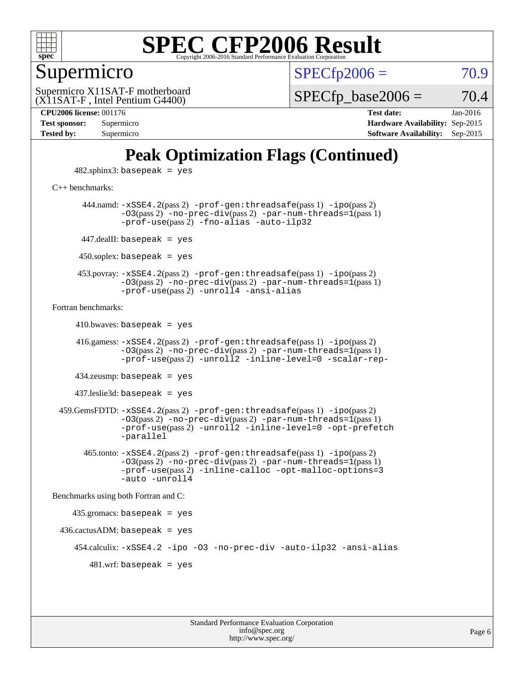

Supermicro

 $SPECTp2006 = 70.9$ 

(X11SAT-F , Intel Pentium G4400) Supermicro X11SAT-F motherboard  $SPECTp\_base2006 = 70.4$ 

**[Tested by:](http://www.spec.org/auto/cpu2006/Docs/result-fields.html#Testedby)** Supermicro **[Software Availability:](http://www.spec.org/auto/cpu2006/Docs/result-fields.html#SoftwareAvailability)** Sep-2015

**[CPU2006 license:](http://www.spec.org/auto/cpu2006/Docs/result-fields.html#CPU2006license)** 001176 **[Test date:](http://www.spec.org/auto/cpu2006/Docs/result-fields.html#Testdate)** Jan-2016 **[Test sponsor:](http://www.spec.org/auto/cpu2006/Docs/result-fields.html#Testsponsor)** Supermicro **[Hardware Availability:](http://www.spec.org/auto/cpu2006/Docs/result-fields.html#HardwareAvailability)** Sep-2015

## **[Peak Optimization Flags \(Continued\)](http://www.spec.org/auto/cpu2006/Docs/result-fields.html#PeakOptimizationFlags)**

 $482$ .sphinx $3$ : basepeak = yes

[C++ benchmarks:](http://www.spec.org/auto/cpu2006/Docs/result-fields.html#CXXbenchmarks)

 444.namd: [-xSSE4.2](http://www.spec.org/cpu2006/results/res2016q1/cpu2006-20160125-38765.flags.html#user_peakPASS2_CXXFLAGSPASS2_LDFLAGS444_namd_f-xSSE42_f91528193cf0b216347adb8b939d4107)(pass 2) [-prof-gen:threadsafe](http://www.spec.org/cpu2006/results/res2016q1/cpu2006-20160125-38765.flags.html#user_peakPASS1_CXXFLAGSPASS1_LDFLAGS444_namd_prof_gen_21a26eb79f378b550acd7bec9fe4467a)(pass 1) [-ipo](http://www.spec.org/cpu2006/results/res2016q1/cpu2006-20160125-38765.flags.html#user_peakPASS2_CXXFLAGSPASS2_LDFLAGS444_namd_f-ipo)(pass 2) [-O3](http://www.spec.org/cpu2006/results/res2016q1/cpu2006-20160125-38765.flags.html#user_peakPASS2_CXXFLAGSPASS2_LDFLAGS444_namd_f-O3)(pass 2) [-no-prec-div](http://www.spec.org/cpu2006/results/res2016q1/cpu2006-20160125-38765.flags.html#user_peakPASS2_CXXFLAGSPASS2_LDFLAGS444_namd_f-no-prec-div)(pass 2) [-par-num-threads=1](http://www.spec.org/cpu2006/results/res2016q1/cpu2006-20160125-38765.flags.html#user_peakPASS1_CXXFLAGSPASS1_LDFLAGS444_namd_par_num_threads_786a6ff141b4e9e90432e998842df6c2)(pass 1) [-prof-use](http://www.spec.org/cpu2006/results/res2016q1/cpu2006-20160125-38765.flags.html#user_peakPASS2_CXXFLAGSPASS2_LDFLAGS444_namd_prof_use_bccf7792157ff70d64e32fe3e1250b55)(pass 2) [-fno-alias](http://www.spec.org/cpu2006/results/res2016q1/cpu2006-20160125-38765.flags.html#user_peakCXXOPTIMIZEOPTIMIZE444_namd_f-no-alias_694e77f6c5a51e658e82ccff53a9e63a) [-auto-ilp32](http://www.spec.org/cpu2006/results/res2016q1/cpu2006-20160125-38765.flags.html#user_peakCXXOPTIMIZE444_namd_f-auto-ilp32) 447.dealII: basepeak = yes  $450$ .soplex: basepeak = yes 453.povray: [-xSSE4.2](http://www.spec.org/cpu2006/results/res2016q1/cpu2006-20160125-38765.flags.html#user_peakPASS2_CXXFLAGSPASS2_LDFLAGS453_povray_f-xSSE42_f91528193cf0b216347adb8b939d4107)(pass 2) [-prof-gen:threadsafe](http://www.spec.org/cpu2006/results/res2016q1/cpu2006-20160125-38765.flags.html#user_peakPASS1_CXXFLAGSPASS1_LDFLAGS453_povray_prof_gen_21a26eb79f378b550acd7bec9fe4467a)(pass 1) [-ipo](http://www.spec.org/cpu2006/results/res2016q1/cpu2006-20160125-38765.flags.html#user_peakPASS2_CXXFLAGSPASS2_LDFLAGS453_povray_f-ipo)(pass 2)  $-03$ (pass 2)  $-$ no-prec-div(pass 2)  $-$ par-num-threads=1(pass 1) [-prof-use](http://www.spec.org/cpu2006/results/res2016q1/cpu2006-20160125-38765.flags.html#user_peakPASS2_CXXFLAGSPASS2_LDFLAGS453_povray_prof_use_bccf7792157ff70d64e32fe3e1250b55)(pass 2) [-unroll4](http://www.spec.org/cpu2006/results/res2016q1/cpu2006-20160125-38765.flags.html#user_peakCXXOPTIMIZE453_povray_f-unroll_4e5e4ed65b7fd20bdcd365bec371b81f) [-ansi-alias](http://www.spec.org/cpu2006/results/res2016q1/cpu2006-20160125-38765.flags.html#user_peakCXXOPTIMIZE453_povray_f-ansi-alias) [Fortran benchmarks](http://www.spec.org/auto/cpu2006/Docs/result-fields.html#Fortranbenchmarks):  $410.bwaves: basepeak = yes$  416.gamess: [-xSSE4.2](http://www.spec.org/cpu2006/results/res2016q1/cpu2006-20160125-38765.flags.html#user_peakPASS2_FFLAGSPASS2_LDFLAGS416_gamess_f-xSSE42_f91528193cf0b216347adb8b939d4107)(pass 2) [-prof-gen:threadsafe](http://www.spec.org/cpu2006/results/res2016q1/cpu2006-20160125-38765.flags.html#user_peakPASS1_FFLAGSPASS1_LDFLAGS416_gamess_prof_gen_21a26eb79f378b550acd7bec9fe4467a)(pass 1) [-ipo](http://www.spec.org/cpu2006/results/res2016q1/cpu2006-20160125-38765.flags.html#user_peakPASS2_FFLAGSPASS2_LDFLAGS416_gamess_f-ipo)(pass 2)  $-03$ (pass 2)  $-$ no-prec-div(pass 2) [-par-num-threads=1](http://www.spec.org/cpu2006/results/res2016q1/cpu2006-20160125-38765.flags.html#user_peakPASS1_FFLAGSPASS1_LDFLAGS416_gamess_par_num_threads_786a6ff141b4e9e90432e998842df6c2)(pass 1) [-prof-use](http://www.spec.org/cpu2006/results/res2016q1/cpu2006-20160125-38765.flags.html#user_peakPASS2_FFLAGSPASS2_LDFLAGS416_gamess_prof_use_bccf7792157ff70d64e32fe3e1250b55)(pass 2) [-unroll2](http://www.spec.org/cpu2006/results/res2016q1/cpu2006-20160125-38765.flags.html#user_peakOPTIMIZE416_gamess_f-unroll_784dae83bebfb236979b41d2422d7ec2) [-inline-level=0](http://www.spec.org/cpu2006/results/res2016q1/cpu2006-20160125-38765.flags.html#user_peakOPTIMIZE416_gamess_f-inline-level_318d07a09274ad25e8d15dbfaa68ba50) [-scalar-rep-](http://www.spec.org/cpu2006/results/res2016q1/cpu2006-20160125-38765.flags.html#user_peakOPTIMIZE416_gamess_f-disablescalarrep_abbcad04450fb118e4809c81d83c8a1d) 434.zeusmp: basepeak = yes 437.leslie3d: basepeak = yes 459.GemsFDTD: [-xSSE4.2](http://www.spec.org/cpu2006/results/res2016q1/cpu2006-20160125-38765.flags.html#user_peakPASS2_FFLAGSPASS2_LDFLAGS459_GemsFDTD_f-xSSE42_f91528193cf0b216347adb8b939d4107)(pass 2) [-prof-gen:threadsafe](http://www.spec.org/cpu2006/results/res2016q1/cpu2006-20160125-38765.flags.html#user_peakPASS1_FFLAGSPASS1_LDFLAGS459_GemsFDTD_prof_gen_21a26eb79f378b550acd7bec9fe4467a)(pass 1) [-ipo](http://www.spec.org/cpu2006/results/res2016q1/cpu2006-20160125-38765.flags.html#user_peakPASS2_FFLAGSPASS2_LDFLAGS459_GemsFDTD_f-ipo)(pass 2) [-O3](http://www.spec.org/cpu2006/results/res2016q1/cpu2006-20160125-38765.flags.html#user_peakPASS2_FFLAGSPASS2_LDFLAGS459_GemsFDTD_f-O3)(pass 2) [-no-prec-div](http://www.spec.org/cpu2006/results/res2016q1/cpu2006-20160125-38765.flags.html#user_peakPASS2_FFLAGSPASS2_LDFLAGS459_GemsFDTD_f-no-prec-div)(pass 2) [-par-num-threads=1](http://www.spec.org/cpu2006/results/res2016q1/cpu2006-20160125-38765.flags.html#user_peakPASS1_FFLAGSPASS1_LDFLAGS459_GemsFDTD_par_num_threads_786a6ff141b4e9e90432e998842df6c2)(pass 1) [-prof-use](http://www.spec.org/cpu2006/results/res2016q1/cpu2006-20160125-38765.flags.html#user_peakPASS2_FFLAGSPASS2_LDFLAGS459_GemsFDTD_prof_use_bccf7792157ff70d64e32fe3e1250b55)(pass 2) [-unroll2](http://www.spec.org/cpu2006/results/res2016q1/cpu2006-20160125-38765.flags.html#user_peakOPTIMIZE459_GemsFDTD_f-unroll_784dae83bebfb236979b41d2422d7ec2) [-inline-level=0](http://www.spec.org/cpu2006/results/res2016q1/cpu2006-20160125-38765.flags.html#user_peakOPTIMIZE459_GemsFDTD_f-inline-level_318d07a09274ad25e8d15dbfaa68ba50) [-opt-prefetch](http://www.spec.org/cpu2006/results/res2016q1/cpu2006-20160125-38765.flags.html#user_peakOPTIMIZE459_GemsFDTD_f-opt-prefetch) [-parallel](http://www.spec.org/cpu2006/results/res2016q1/cpu2006-20160125-38765.flags.html#user_peakOPTIMIZE459_GemsFDTD_f-parallel) 465.tonto: [-xSSE4.2](http://www.spec.org/cpu2006/results/res2016q1/cpu2006-20160125-38765.flags.html#user_peakPASS2_FFLAGSPASS2_LDFLAGS465_tonto_f-xSSE42_f91528193cf0b216347adb8b939d4107)(pass 2) [-prof-gen:threadsafe](http://www.spec.org/cpu2006/results/res2016q1/cpu2006-20160125-38765.flags.html#user_peakPASS1_FFLAGSPASS1_LDFLAGS465_tonto_prof_gen_21a26eb79f378b550acd7bec9fe4467a)(pass 1) [-ipo](http://www.spec.org/cpu2006/results/res2016q1/cpu2006-20160125-38765.flags.html#user_peakPASS2_FFLAGSPASS2_LDFLAGS465_tonto_f-ipo)(pass 2)  $-03(pass 2)$  [-no-prec-div](http://www.spec.org/cpu2006/results/res2016q1/cpu2006-20160125-38765.flags.html#user_peakPASS2_FFLAGSPASS2_LDFLAGS465_tonto_f-no-prec-div)(pass 2) [-par-num-threads=1](http://www.spec.org/cpu2006/results/res2016q1/cpu2006-20160125-38765.flags.html#user_peakPASS1_FFLAGSPASS1_LDFLAGS465_tonto_par_num_threads_786a6ff141b4e9e90432e998842df6c2)(pass 1) [-prof-use](http://www.spec.org/cpu2006/results/res2016q1/cpu2006-20160125-38765.flags.html#user_peakPASS2_FFLAGSPASS2_LDFLAGS465_tonto_prof_use_bccf7792157ff70d64e32fe3e1250b55)(pass 2) [-inline-calloc](http://www.spec.org/cpu2006/results/res2016q1/cpu2006-20160125-38765.flags.html#user_peakOPTIMIZE465_tonto_f-inline-calloc) [-opt-malloc-options=3](http://www.spec.org/cpu2006/results/res2016q1/cpu2006-20160125-38765.flags.html#user_peakOPTIMIZE465_tonto_f-opt-malloc-options_13ab9b803cf986b4ee62f0a5998c2238) [-auto](http://www.spec.org/cpu2006/results/res2016q1/cpu2006-20160125-38765.flags.html#user_peakOPTIMIZE465_tonto_f-auto) [-unroll4](http://www.spec.org/cpu2006/results/res2016q1/cpu2006-20160125-38765.flags.html#user_peakOPTIMIZE465_tonto_f-unroll_4e5e4ed65b7fd20bdcd365bec371b81f) [Benchmarks using both Fortran and C](http://www.spec.org/auto/cpu2006/Docs/result-fields.html#BenchmarksusingbothFortranandC): 435.gromacs: basepeak = yes  $436.cactusADM: basepeak = yes$  454.calculix: [-xSSE4.2](http://www.spec.org/cpu2006/results/res2016q1/cpu2006-20160125-38765.flags.html#user_peakOPTIMIZE454_calculix_f-xSSE42_f91528193cf0b216347adb8b939d4107) [-ipo](http://www.spec.org/cpu2006/results/res2016q1/cpu2006-20160125-38765.flags.html#user_peakOPTIMIZE454_calculix_f-ipo) [-O3](http://www.spec.org/cpu2006/results/res2016q1/cpu2006-20160125-38765.flags.html#user_peakOPTIMIZE454_calculix_f-O3) [-no-prec-div](http://www.spec.org/cpu2006/results/res2016q1/cpu2006-20160125-38765.flags.html#user_peakOPTIMIZE454_calculix_f-no-prec-div) [-auto-ilp32](http://www.spec.org/cpu2006/results/res2016q1/cpu2006-20160125-38765.flags.html#user_peakCOPTIMIZE454_calculix_f-auto-ilp32) [-ansi-alias](http://www.spec.org/cpu2006/results/res2016q1/cpu2006-20160125-38765.flags.html#user_peakCOPTIMIZE454_calculix_f-ansi-alias)  $481.$ wrf: basepeak = yes